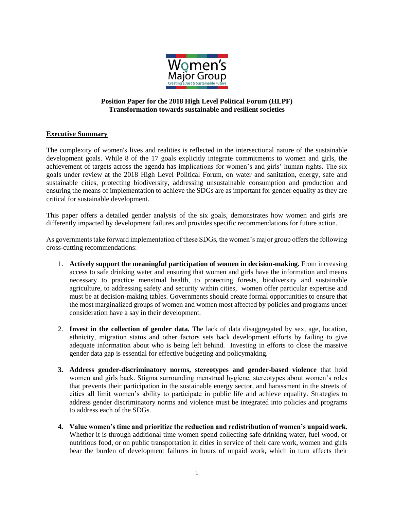

## **Position Paper for the 2018 High Level Political Forum (HLPF) Transformation towards sustainable and resilient societies**

## **Executive Summary**

The complexity of women's lives and realities is reflected in the intersectional nature of the sustainable development goals. While 8 of the 17 goals explicitly integrate commitments to women and girls, the achievement of targets across the agenda has implications for women's and girls' human rights. The six goals under review at the 2018 High Level Political Forum, on water and sanitation, energy, safe and sustainable cities, protecting biodiversity, addressing unsustainable consumption and production and ensuring the means of implementation to achieve the SDGs are as important for gender equality as they are critical for sustainable development.

This paper offers a detailed gender analysis of the six goals, demonstrates how women and girls are differently impacted by development failures and provides specific recommendations for future action.

As governments take forward implementation of these SDGs, the women's major group offers the following cross-cutting recommendations:

- 1. **Actively support the meaningful participation of women in decision-making.** From increasing access to safe drinking water and ensuring that women and girls have the information and means necessary to practice menstrual health, to protecting forests, biodiversity and sustainable agriculture, to addressing safety and security within cities, women offer particular expertise and must be at decision-making tables. Governments should create formal opportunities to ensure that the most marginalized groups of women and women most affected by policies and programs under consideration have a say in their development.
- 2. **Invest in the collection of gender data.** The lack of data disaggregated by sex, age, location, ethnicity, migration status and other factors sets back development efforts by failing to give adequate information about who is being left behind. Investing in efforts to close the massive gender data gap is essential for effective budgeting and policymaking.
- **3. Address gender-discriminatory norms, stereotypes and gender-based violence** that hold women and girls back. Stigma surrounding menstrual hygiene, stereotypes about women's roles that prevents their participation in the sustainable energy sector, and harassment in the streets of cities all limit women's ability to participate in public life and achieve equality. Strategies to address gender discriminatory norms and violence must be integrated into policies and programs to address each of the SDGs.
- **4. Value women's time and prioritize the reduction and redistribution of women's unpaid work.**  Whether it is through additional time women spend collecting safe drinking water, fuel wood, or nutritious food, or on public transportation in cities in service of their care work, women and girls bear the burden of development failures in hours of unpaid work, which in turn affects their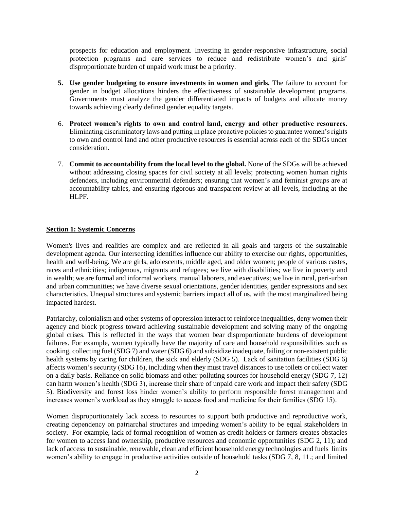prospects for education and employment. Investing in gender-responsive infrastructure, social protection programs and care services to reduce and redistribute women's and girls' disproportionate burden of unpaid work must be a priority.

- **5. Use gender budgeting to ensure investments in women and girls.** The failure to account for gender in budget allocations hinders the effectiveness of sustainable development programs. Governments must analyze the gender differentiated impacts of budgets and allocate money towards achieving clearly defined gender equality targets.
- 6. **Protect women's rights to own and control land, energy and other productive resources.** Eliminating discriminatory laws and putting in place proactive policies to guarantee women's rights to own and control land and other productive resources is essential across each of the SDGs under consideration.
- 7. **Commit to accountability from the local level to the global.** None of the SDGs will be achieved without addressing closing spaces for civil society at all levels; protecting women human rights defenders, including environmental defenders; ensuring that women's and feminist groups are at accountability tables, and ensuring rigorous and transparent review at all levels, including at the HLPF.

### **Section 1: Systemic Concerns**

Women's lives and realities are complex and are reflected in all goals and targets of the sustainable development agenda. Our intersecting identifies influence our ability to exercise our rights, opportunities, health and well-being. We are girls, adolescents, middle aged, and older women; people of various castes, races and ethnicities; indigenous, migrants and refugees; we live with disabilities; we live in poverty and in wealth; we are formal and informal workers, manual laborers, and executives; we live in rural, peri-urban and urban communities; we have diverse sexual orientations, gender identities, gender expressions and sex characteristics. Unequal structures and systemic barriers impact all of us, with the most marginalized being impacted hardest.

Patriarchy, colonialism and other systems of oppression interact to reinforce inequalities, deny women their agency and block progress toward achieving sustainable development and solving many of the ongoing global crises. This is reflected in the ways that women bear disproportionate burdens of development failures. For example, women typically have the majority of care and household responsibilities such as cooking, collecting fuel (SDG 7) and water (SDG 6) and subsidize inadequate, failing or non-existent public health systems by caring for children, the sick and elderly (SDG 5). Lack of sanitation facilities (SDG 6) affects women's security (SDG 16), including when they must travel distances to use toilets or collect water on a daily basis. Reliance on solid biomass and other polluting sources for household energy (SDG 7, 12) can harm women's health (SDG 3), increase their share of unpaid care work and impact their safety (SDG 5). Biodiversity and forest loss hinder women's ability to perform responsible forest management and increases women's workload as they struggle to access food and medicine for their families (SDG 15).

Women disproportionately lack access to resources to support both productive and reproductive work, creating dependency on patriarchal structures and impeding women's ability to be equal stakeholders in society. For example, lack of formal recognition of women as credit holders or farmers creates obstacles for women to access land ownership, productive resources and economic opportunities (SDG 2, 11); and lack of access to sustainable, renewable, clean and efficient household energy technologies and fuels limits women's ability to engage in productive activities outside of household tasks (SDG 7, 8, 11.; and limited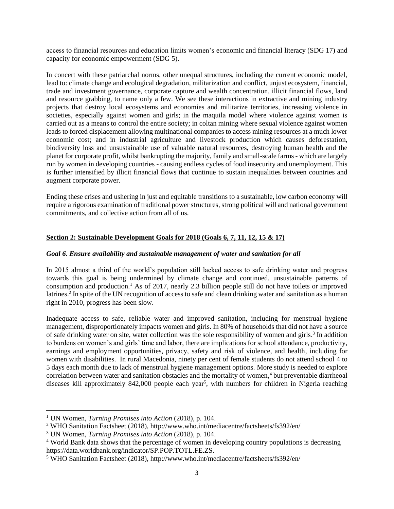access to financial resources and education limits women's economic and financial literacy (SDG 17) and capacity for economic empowerment (SDG 5).

In concert with these patriarchal norms, other unequal structures, including the current economic model, lead to: climate change and ecological degradation, militarization and conflict, unjust ecosystem, financial, trade and investment governance, corporate capture and wealth concentration, illicit financial flows, land and resource grabbing, to name only a few. We see these interactions in extractive and mining industry projects that destroy local ecosystems and economies and militarize territories, increasing violence in societies, especially against women and girls; in the maquila model where violence against women is carried out as a means to control the entire society; in coltan mining where sexual violence against women leads to forced displacement allowing multinational companies to access mining resources at a much lower economic cost; and in industrial agriculture and livestock production which causes deforestation, biodiversity loss and unsustainable use of valuable natural resources, destroying human health and the planet for corporate profit, whilst bankrupting the majority, family and small-scale farms - which are largely run by women in developing countries - causing endless cycles of food insecurity and unemployment. This is further intensified by illicit financial flows that continue to sustain inequalities between countries and augment corporate power.

Ending these crises and ushering in just and equitable transitions to a sustainable, low carbon economy will require a rigorous examination of traditional power structures, strong political will and national government commitments, and collective action from all of us.

## **Section 2: Sustainable Development Goals for 2018 (Goals 6, 7, 11, 12, 15 & 17)**

### *Goal 6. Ensure availability and sustainable management of water and sanitation for all*

In 2015 almost a third of the world's population still lacked access to safe drinking water and progress towards this goal is being undermined by climate change and continued, unsustainable patterns of consumption and production.<sup>1</sup> As of 2017, nearly 2.3 billion people still do not have toilets or improved latrines.<sup>2</sup> In spite of the UN recognition of access to safe and clean drinking water and sanitation as a human right in 2010, progress has been slow.

Inadequate access to safe, reliable water and improved sanitation, including for menstrual hygiene management, disproportionately impacts women and girls. In 80% of households that did not have a source of safe drinking water on site, water collection was the sole responsibility of women and girls.<sup>3</sup> In addition to burdens on women's and girls' time and labor, there are implications for school attendance, productivity, earnings and employment opportunities, privacy, safety and risk of violence, and health, including for women with disabilities. In rural Macedonia, ninety per cent of female students do not attend school 4 to 5 days each month due to lack of menstrual hygiene management options. More study is needed to explore correlation between water and sanitation obstacles and the mortality of women, <sup>4</sup> but preventable diarrheoal diseases kill approximately 842,000 people each year<sup>5</sup>, with numbers for children in Nigeria reaching

 $\overline{a}$ <sup>1</sup> UN Women, *Turning Promises into Action* (2018), p. 104.

<sup>2</sup> WHO Sanitation Factsheet (2018), http://www.who.int/mediacentre/factsheets/fs392/en/

<sup>3</sup> UN Women, *Turning Promises into Action* (2018), p. 104.

<sup>4</sup> World Bank data shows that the percentage of women in developing country populations is decreasing https://data.worldbank.org/indicator/SP.POP.TOTL.FE.ZS.

<sup>5</sup> WHO Sanitation Factsheet (2018), http://www.who.int/mediacentre/factsheets/fs392/en/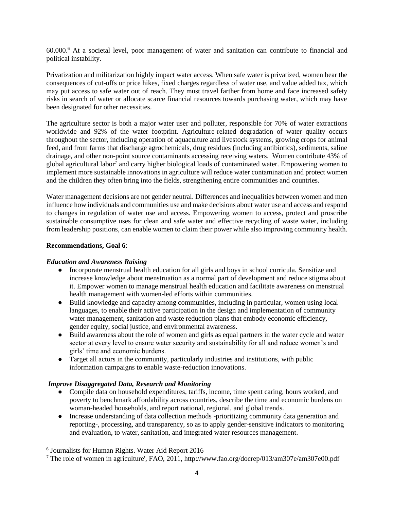60,000. <sup>6</sup> At a societal level, poor management of water and sanitation can contribute to financial and political instability.

Privatization and militarization highly impact water access. When safe water is privatized, women bear the consequences of cut-offs or price hikes, fixed charges regardless of water use, and value added tax, which may put access to safe water out of reach. They must travel farther from home and face increased safety risks in search of water or allocate scarce financial resources towards purchasing water, which may have been designated for other necessities.

The agriculture sector is both a major water user and polluter, responsible for 70% of water extractions worldwide and 92% of the water footprint. Agriculture-related degradation of water quality occurs throughout the sector, including operation of aquaculture and livestock systems, growing crops for animal feed, and from farms that discharge agrochemicals, drug residues (including antibiotics), sediments, saline drainage, and other non-point source contaminants accessing receiving waters. Women contribute 43% of global agricultural labor<sup>7</sup> and carry higher biological loads of contaminated water. Empowering women to implement more sustainable innovations in agriculture will reduce water contamination and protect women and the children they often bring into the fields, strengthening entire communities and countries.

Water management decisions are not gender neutral. Differences and inequalities between women and men influence how individuals and communities use and make decisions about water use and access and respond to changes in regulation of water use and access. Empowering women to access, protect and proscribe sustainable consumptive uses for clean and safe water and effective recycling of waste water, including from leadership positions, can enable women to claim their power while also improving community health.

## **Recommendations, Goal 6**:

 $\overline{\phantom{a}}$ 

### *Education and Awareness Raising*

- Incorporate menstrual health education for all girls and boys in school curricula. Sensitize and increase knowledge about menstruation as a normal part of development and reduce stigma about it. Empower women to manage menstrual health education and facilitate awareness on menstrual health management with women-led efforts within communities.
- Build knowledge and capacity among communities, including in particular, women using local languages, to enable their active participation in the design and implementation of community water management, sanitation and waste reduction plans that embody economic efficiency, gender equity, social justice, and environmental awareness.
- Build awareness about the role of women and girls as equal partners in the water cycle and water sector at every level to ensure water security and sustainability for all and reduce women's and girls' time and economic burdens.
- Target all actors in the community, particularly industries and institutions, with public information campaigns to enable waste-reduction innovations.

## *Improve Disaggregated Data, Research and Monitoring*

- Compile data on household expenditures, tariffs, income, time spent caring, hours worked, and poverty to benchmark affordability across countries, describe the time and economic burdens on woman-headed households, and report national, regional, and global trends.
- Increase understanding of data collection methods -prioritizing community data generation and reporting-, processing, and transparency, so as to apply gender-sensitive indicators to monitoring and evaluation, to water, sanitation, and integrated water resources management.

<sup>6</sup> Journalists for Human Rights. Water Aid Report 2016

<sup>7</sup> The role of women in agriculture', FAO, 2011, http://www.fao.org/docrep/013/am307e/am307e00.pdf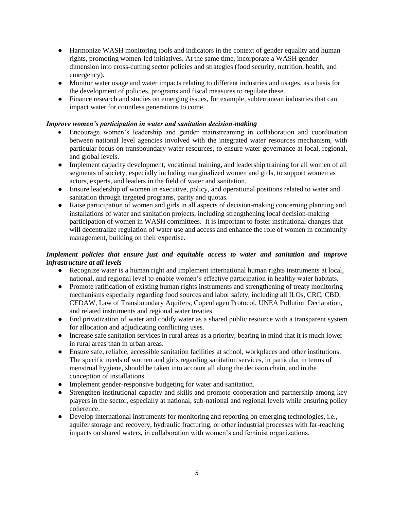- Harmonize WASH monitoring tools and indicators in the context of gender equality and human rights, promoting women-led initiatives. At the same time, incorporate a WASH gender dimension into cross-cutting sector policies and strategies (food security, nutrition, health, and emergency).
- Monitor water usage and water impacts relating to different industries and usages, as a basis for the development of policies, programs and fiscal measures to regulate these.
- Finance research and studies on emerging issues, for example, subterranean industries that can impact water for countless generations to come.

### *Improve women's participation in water and sanitation decision-making*

- Encourage women's leadership and gender mainstreaming in collaboration and coordination between national level agencies involved with the integrated water resources mechanism, with particular focus on transboundary water resources, to ensure water governance at local, regional, and global levels.
- Implement capacity development, vocational training, and leadership training for all women of all segments of society, especially including marginalized women and girls, to support women as actors, experts, and leaders in the field of water and sanitation.
- Ensure leadership of women in executive, policy, and operational positions related to water and sanitation through targeted programs, parity and quotas.
- Raise participation of women and girls in all aspects of decision-making concerning planning and installations of water and sanitation projects, including strengthening local decision-making participation of women in WASH committees. It is important to foster institutional changes that will decentralize regulation of water use and access and enhance the role of women in community management, building on their expertise.

## *Implement policies that ensure just and equitable access to water and sanitation and improve infrastructure at all levels*

- Recognize water is a human right and implement international human rights instruments at local, national, and regional level to enable women's effective participation in healthy water habitats.
- Promote ratification of existing human rights instruments and strengthening of treaty monitoring mechanisms especially regarding food sources and labor safety, including all ILOs, CRC, CBD, CEDAW, Law of Transboundary Aquifers, Copenhagen Protocol, UNEA Pollution Declaration, and related instruments and regional water treaties.
- End privatization of water and codify water as a shared public resource with a transparent system for allocation and adjudicating conflicting uses.
- Increase safe sanitation services in rural areas as a priority, bearing in mind that it is much lower in rural areas than in urban areas.
- Ensure safe, reliable, accessible sanitation facilities at school, workplaces and other institutions. The specific needs of women and girls regarding sanitation services, in particular in terms of menstrual hygiene, should be taken into account all along the decision chain, and in the conception of installations.
- Implement gender-responsive budgeting for water and sanitation.
- Strengthen institutional capacity and skills and promote cooperation and partnership among key players in the sector, especially at national, sub-national and regional levels while ensuring policy coherence.
- Develop international instruments for monitoring and reporting on emerging technologies, i.e., aquifer storage and recovery, hydraulic fracturing, or other industrial processes with far-reaching impacts on shared waters, in collaboration with women's and feminist organizations.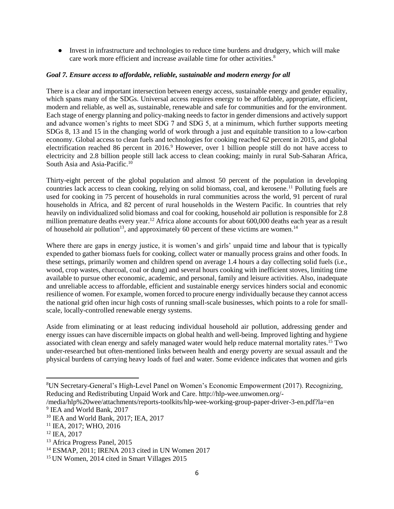● Invest in infrastructure and technologies to reduce time burdens and drudgery, which will make care work more efficient and increase available time for other activities.<sup>8</sup>

## *Goal 7. Ensure access to affordable, reliable, sustainable and modern energy for all*

There is a clear and important intersection between energy access, sustainable energy and gender equality, which spans many of the SDGs. Universal access requires energy to be affordable, appropriate, efficient, modern and reliable, as well as, sustainable, renewable and safe for communities and for the environment. Each stage of energy planning and policy-making needs to factor in gender dimensions and actively support and advance women's rights to meet SDG 7 and SDG 5, at a minimum, which further supports meeting SDGs 8, 13 and 15 in the changing world of work through a just and equitable transition to a low-carbon economy. Global access to clean fuels and technologies for cooking reached 62 percent in 2015, and global electrification reached 86 percent in 2016.<sup>9</sup> However, over 1 billion people still do not have access to electricity and 2.8 billion people still lack access to clean cooking; mainly in rural Sub-Saharan Africa, South Asia and Asia-Pacific.<sup>10</sup>

Thirty-eight percent of the global population and almost 50 percent of the population in developing countries lack access to clean cooking, relying on solid biomass, coal, and kerosene.<sup>11</sup> Polluting fuels are used for cooking in 75 percent of households in rural communities across the world, 91 percent of rural households in Africa, and 82 percent of rural households in the Western Pacific. In countries that rely heavily on individualized solid biomass and coal for cooking, household air pollution is responsible for 2.8 million premature deaths every year.<sup>12</sup> Africa alone accounts for about 600,000 deaths each year as a result of household air pollution<sup>13</sup>, and approximately 60 percent of these victims are women.<sup>14</sup>

Where there are gaps in energy justice, it is women's and girls' unpaid time and labour that is typically expended to gather biomass fuels for cooking, collect water or manually process grains and other foods. In these settings, primarily women and children spend on average 1.4 hours a day collecting solid fuels (i.e., wood, crop wastes, charcoal, coal or dung) and several hours cooking with inefficient stoves, limiting time available to pursue other economic, academic, and personal, family and leisure activities. Also, inadequate and unreliable access to affordable, efficient and sustainable energy services hinders social and economic resilience of women. For example, women forced to procure energy individually because they cannot access the national grid often incur high costs of running small-scale businesses, which points to a role for smallscale, locally-controlled renewable energy systems.

Aside from eliminating or at least reducing individual household air pollution, addressing gender and energy issues can have discernible impacts on global health and well-being. Improved lighting and hygiene associated with clean energy and safely managed water would help reduce maternal mortality rates.<sup>15</sup> Two under-researched but often-mentioned links between health and energy poverty are sexual assault and the physical burdens of carrying heavy loads of fuel and water. Some evidence indicates that women and girls

<sup>8</sup>UN Secretary-General's High-Level Panel on Women's Economic Empowerment (2017). Recognizing, Reducing and Redistributing Unpaid Work and Care. http://hlp-wee.unwomen.org/-

<sup>/</sup>media/hlp%20wee/attachments/reports-toolkits/hlp-wee-working-group-paper-driver-3-en.pdf?la=en <sup>9</sup> IEA and World Bank, 2017

<sup>10</sup> IEA and World Bank, 2017; IEA, 2017

<sup>11</sup> IEA, 2017; WHO, 2016

<sup>12</sup> IEA, 2017

<sup>&</sup>lt;sup>13</sup> Africa Progress Panel, 2015

<sup>14</sup> ESMAP, 2011; IRENA 2013 cited in UN Women 2017

<sup>15</sup> UN Women, 2014 cited in Smart Villages 2015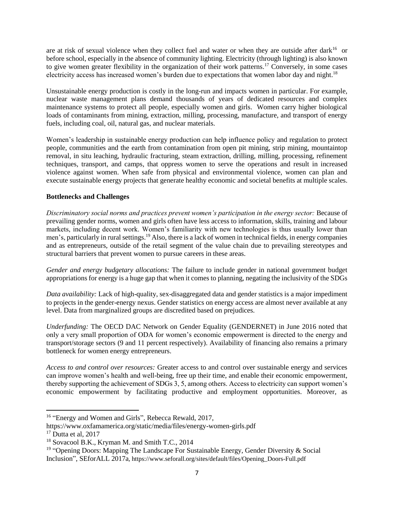are at risk of sexual violence when they collect fuel and water or when they are outside after dark<sup>16</sup> or before school, especially in the absence of community lighting. Electricity (through lighting) is also known to give women greater flexibility in the organization of their work patterns.<sup>17</sup> Conversely, in some cases electricity access has increased women's burden due to expectations that women labor day and night.<sup>18</sup>

Unsustainable energy production is costly in the long-run and impacts women in particular. For example, nuclear waste management plans demand thousands of years of dedicated resources and complex maintenance systems to protect all people, especially women and girls. Women carry higher biological loads of contaminants from mining, extraction, milling, processing, manufacture, and transport of energy fuels, including coal, oil, natural gas, and nuclear materials.

Women's leadership in sustainable energy production can help influence policy and regulation to protect people, communities and the earth from contamination from open pit mining, strip mining, mountaintop removal, in situ leaching, hydraulic fracturing, steam extraction, drilling, milling, processing, refinement techniques, transport, and camps, that oppress women to serve the operations and result in increased violence against women. When safe from physical and environmental violence, women can plan and execute sustainable energy projects that generate healthy economic and societal benefits at multiple scales.

## **Bottlenecks and Challenges**

*Discriminatory social norms and practices prevent women's participation in the energy sector:* Because of prevailing gender norms, women and girls often have less access to information, skills, training and labour markets, including decent work. Women's familiarity with new technologies is thus usually lower than men's, particularly in rural settings.<sup>19</sup> Also, there is a lack of women in technical fields, in energy companies and as entrepreneurs, outside of the retail segment of the value chain due to prevailing stereotypes and structural barriers that prevent women to pursue careers in these areas.

*Gender and energy budgetary allocations:* The failure to include gender in national government budget appropriations for energy is a huge gap that when it comes to planning, negating the inclusivity of the SDGs

*Data availability:* Lack of high-quality, sex-disaggregated data and gender statistics is a major impediment to projects in the gender-energy nexus. Gender statistics on energy access are almost never available at any level. Data from marginalized groups are discredited based on prejudices.

*Underfunding:* The OECD DAC Network on Gender Equality (GENDERNET) in June 2016 noted that only a very small proportion of ODA for women's economic empowerment is directed to the energy and transport/storage sectors (9 and 11 percent respectively). Availability of financing also remains a primary bottleneck for women energy entrepreneurs.

*Access to and control over resources:* Greater access to and control over sustainable energy and services can improve women's health and well-being, free up their time, and enable their economic empowerment, thereby supporting the achievement of SDGs 3, 5, among others. Access to electricity can support women's economic empowerment by facilitating productive and employment opportunities. Moreover, as

<sup>&</sup>lt;sup>16</sup> "Energy and Women and Girls", Rebecca Rewald, 2017,

https://www.oxfamamerica.org/static/media/files/energy-women-girls.pdf

 $17$  Dutta et al, 2017

<sup>18</sup> Sovacool B.K., Kryman M. and Smith T.C., 2014

<sup>&</sup>lt;sup>19</sup> "Opening Doors: Mapping The Landscape For Sustainable Energy, Gender Diversity & Social Inclusion", SEforALL 2017a, https://www.seforall.org/sites/default/files/Opening\_Doors-Full.pdf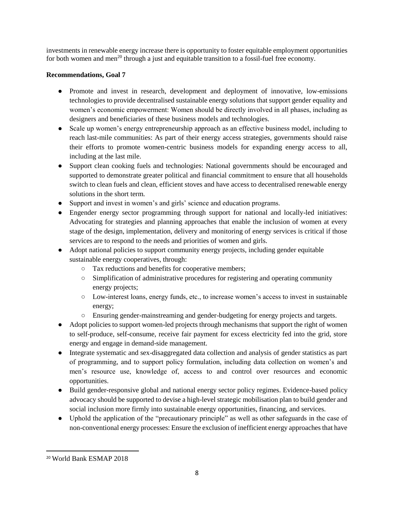investments in renewable energy increase there is opportunity to foster equitable employment opportunities for both women and men<sup>20</sup> through a just and equitable transition to a fossil-fuel free economy.

# **Recommendations, Goal 7**

- Promote and invest in research, development and deployment of innovative, low-emissions technologies to provide decentralised sustainable energy solutions that support gender equality and women's economic empowerment: Women should be directly involved in all phases, including as designers and beneficiaries of these business models and technologies.
- Scale up women's energy entrepreneurship approach as an effective business model, including to reach last-mile communities: As part of their energy access strategies, governments should raise their efforts to promote women-centric business models for expanding energy access to all, including at the last mile.
- Support clean cooking fuels and technologies: National governments should be encouraged and supported to demonstrate greater political and financial commitment to ensure that all households switch to clean fuels and clean, efficient stoves and have access to decentralised renewable energy solutions in the short term.
- Support and invest in women's and girls' science and education programs.
- Engender energy sector programming through support for national and locally-led initiatives: Advocating for strategies and planning approaches that enable the inclusion of women at every stage of the design, implementation, delivery and monitoring of energy services is critical if those services are to respond to the needs and priorities of women and girls.
- Adopt national policies to support community energy projects, including gender equitable sustainable energy cooperatives, through:
	- Tax reductions and benefits for cooperative members;
	- Simplification of administrative procedures for registering and operating community energy projects;
	- Low-interest loans, energy funds, etc., to increase women's access to invest in sustainable energy;
	- Ensuring gender-mainstreaming and gender-budgeting for energy projects and targets.
- Adopt policies to support women-led projects through mechanisms that support the right of women to self-produce, self-consume, receive fair payment for excess electricity fed into the grid, store energy and engage in demand-side management.
- Integrate systematic and sex-disaggregated data collection and analysis of gender statistics as part of programming, and to support policy formulation, including data collection on women's and men's resource use, knowledge of, access to and control over resources and economic opportunities.
- Build gender-responsive global and national energy sector policy regimes. Evidence-based policy advocacy should be supported to devise a high-level strategic mobilisation plan to build gender and social inclusion more firmly into sustainable energy opportunities, financing, and services.
- Uphold the application of the "precautionary principle" as well as other safeguards in the case of non-conventional energy processes: Ensure the exclusion of inefficient energy approaches that have

 $\overline{\phantom{a}}$ <sup>20</sup> World Bank ESMAP 2018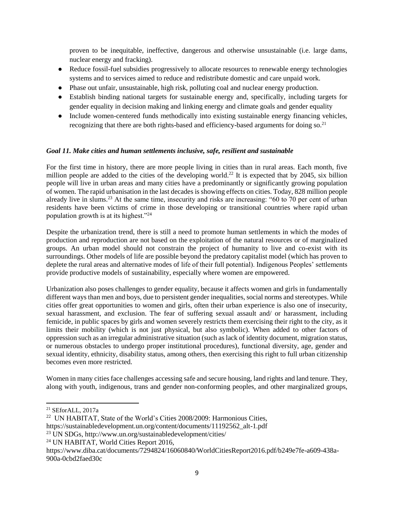proven to be inequitable, ineffective, dangerous and otherwise unsustainable (i.e. large dams, nuclear energy and fracking).

- Reduce fossil-fuel subsidies progressively to allocate resources to renewable energy technologies systems and to services aimed to reduce and redistribute domestic and care unpaid work.
- Phase out unfair, unsustainable, high risk, polluting coal and nuclear energy production.
- Establish binding national targets for sustainable energy and, specifically, including targets for gender equality in decision making and linking energy and climate goals and gender equality
- Include women-centered funds methodically into existing sustainable energy financing vehicles, recognizing that there are both rights-based and efficiency-based arguments for doing so.<sup>21</sup>

## *Goal 11. Make cities and human settlements inclusive, safe, resilient and sustainable*

For the first time in history, there are more people living in cities than in rural areas. Each month, five million people are added to the cities of the developing world.<sup>22</sup> It is expected that by 2045, six billion people will live in urban areas and many cities have a predominantly or significantly growing population of women. The rapid urbanisation in the last decades is showing effects on cities. Today, 828 million people already live in slums.<sup>23</sup> At the same time, insecurity and risks are increasing: "60 to 70 per cent of urban residents have been victims of crime in those developing or transitional countries where rapid urban population growth is at its highest."<sup>24</sup>

Despite the urbanization trend, there is still a need to promote human settlements in which the modes of production and reproduction are not based on the exploitation of the natural resources or of marginalized groups. An urban model should not constrain the project of humanity to live and co-exist with its surroundings. Other models of life are possible beyond the predatory capitalist model (which has proven to deplete the rural areas and alternative modes of life of their full potential). Indigenous Peoples' settlements provide productive models of sustainability, especially where women are empowered.

Urbanization also poses challenges to gender equality, because it affects women and girls in fundamentally different ways than men and boys, due to persistent gender inequalities, social norms and stereotypes. While cities offer great opportunities to women and girls, often their urban experience is also one of insecurity, sexual harassment, and exclusion. The fear of suffering sexual assault and/ or harassment, including femicide, in public spaces by girls and women severely restricts them exercising their right to the city, as it limits their mobility (which is not just physical, but also symbolic). When added to other factors of oppression such as an irregular administrative situation (such as lack of identity document, migration status, or numerous obstacles to undergo proper institutional procedures), functional diversity, age, gender and sexual identity, ethnicity, disability status, among others, then exercising this right to full urban citizenship becomes even more restricted.

Women in many cities face challenges accessing safe and secure housing, land rights and land tenure. They, along with youth, indigenous, trans and gender non-conforming peoples, and other marginalized groups,

l

<sup>23</sup> UN SDGs, http://www.un.org/sustainabledevelopment/cities/

<sup>21</sup> SEforALL, 2017a

<sup>22</sup> UN HABITAT, State of the World's Cities 2008/2009: Harmonious Cities,

https://sustainabledevelopment.un.org/content/documents/11192562\_alt-1.pdf

<sup>24</sup> UN HABITAT, World Cities Report 2016,

https://www.diba.cat/documents/7294824/16060840/WorldCitiesReport2016.pdf/b249e7fe-a609-438a-900a-0cbd2faed30c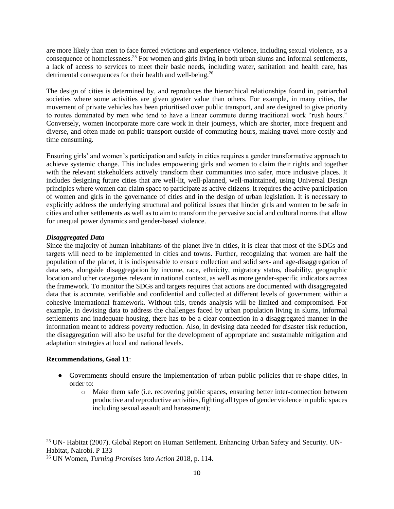are more likely than men to face forced evictions and experience violence, including sexual violence, as a consequence of homelessness.<sup>25</sup> For women and girls living in both urban slums and informal settlements, a lack of access to services to meet their basic needs, including water, sanitation and health care, has detrimental consequences for their health and well-being.<sup>26</sup>

The design of cities is determined by, and reproduces the hierarchical relationships found in, patriarchal societies where some activities are given greater value than others. For example, in many cities, the movement of private vehicles has been prioritised over public transport, and are designed to give priority to routes dominated by men who tend to have a linear commute during traditional work "rush hours." Conversely, women incorporate more care work in their journeys, which are shorter, more frequent and diverse, and often made on public transport outside of commuting hours, making travel more costly and time consuming.

Ensuring girls' and women's participation and safety in cities requires a gender transformative approach to achieve systemic change. This includes empowering girls and women to claim their rights and together with the relevant stakeholders actively transform their communities into safer, more inclusive places. It includes designing future cities that are well-lit, well-planned, well-maintained, using Universal Design principles where women can claim space to participate as active citizens. It requires the active participation of women and girls in the governance of cities and in the design of urban legislation. It is necessary to explicitly address the underlying structural and political issues that hinder girls and women to be safe in cities and other settlements as well as to aim to transform the pervasive social and cultural norms that allow for unequal power dynamics and gender-based violence.

### *Disaggregated Data*

Since the majority of human inhabitants of the planet live in cities, it is clear that most of the SDGs and targets will need to be implemented in cities and towns. Further, recognizing that women are half the population of the planet, it is indispensable to ensure collection and solid sex- and age-disaggregation of data sets, alongside disaggregation by income, race, ethnicity, migratory status, disability, geographic location and other categories relevant in national context, as well as more gender-specific indicators across the framework. To monitor the SDGs and targets requires that actions are documented with disaggregated data that is accurate, verifiable and confidential and collected at different levels of government within a cohesive international framework. Without this, trends analysis will be limited and compromised. For example, in devising data to address the challenges faced by urban population living in slums, informal settlements and inadequate housing, there has to be a clear connection in a disaggregated manner in the information meant to address poverty reduction. Also, in devising data needed for disaster risk reduction, the disaggregation will also be useful for the development of appropriate and sustainable mitigation and adaptation strategies at local and national levels.

## **Recommendations, Goal 11**:

- Governments should ensure the implementation of urban public policies that re-shape cities, in order to:
	- o Make them safe (i.e. recovering public spaces, ensuring better inter-connection between productive and reproductive activities, fighting all types of gender violence in public spaces including sexual assault and harassment);

<sup>&</sup>lt;sup>25</sup> UN- Habitat (2007). Global Report on Human Settlement. Enhancing Urban Safety and Security. UN-Habitat, Nairobi. P 133

<sup>26</sup> UN Women, *Turning Promises into Action* 2018, p. 114.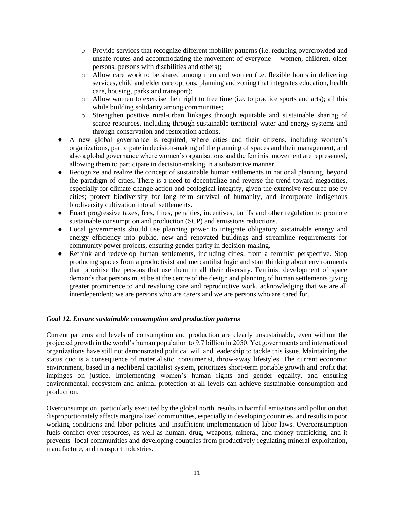- o Provide services that recognize different mobility patterns (i.e. reducing overcrowded and unsafe routes and accommodating the movement of everyone - women, children, older persons, persons with disabilities and others);
- o Allow care work to be shared among men and women (i.e. flexible hours in delivering services, child and elder care options, planning and zoning that integrates education, health care, housing, parks and transport);
- o Allow women to exercise their right to free time (i.e. to practice sports and arts); all this while building solidarity among communities;
- o Strengthen positive rural-urban linkages through equitable and sustainable sharing of scarce resources, including through sustainable territorial water and energy systems and through conservation and restoration actions.
- A new global governance is required, where cities and their citizens, including women's organizations, participate in decision-making of the planning of spaces and their management, and also a global governance where women's organisations and the feminist movement are represented, allowing them to participate in decision-making in a substantive manner.
- Recognize and realize the concept of sustainable human settlements in national planning, beyond the paradigm of cities. There is a need to decentralize and reverse the trend toward megacities, especially for climate change action and ecological integrity, given the extensive resource use by cities; protect biodiversity for long term survival of humanity, and incorporate indigenous biodiversity cultivation into all settlements.
- Enact progressive taxes, fees, fines, penalties, incentives, tariffs and other regulation to promote sustainable consumption and production (SCP) and emissions reductions.
- Local governments should use planning power to integrate obligatory sustainable energy and energy efficiency into public, new and renovated buildings and streamline requirements for community power projects, ensuring gender parity in decision-making.
- Rethink and redevelop human settlements, including cities, from a feminist perspective. Stop producing spaces from a productivist and mercantilist logic and start thinking about environments that prioritise the persons that use them in all their diversity. Feminist development of space demands that persons must be at the centre of the design and planning of human settlements giving greater prominence to and revaluing care and reproductive work, acknowledging that we are all interdependent: we are persons who are carers and we are persons who are cared for.

## *Goal 12. Ensure sustainable consumption and production patterns*

Current patterns and levels of consumption and production are clearly unsustainable, even without the projected growth in the world's human population to 9.7 billion in 2050. Yet governments and international organizations have still not demonstrated political will and leadership to tackle this issue. Maintaining the status quo is a consequence of materialistic, consumerist, throw-away lifestyles. The current economic environment, based in a neoliberal capitalist system, prioritizes short-term portable growth and profit that impinges on justice. Implementing women's human rights and gender equality, and ensuring environmental, ecosystem and animal protection at all levels can achieve sustainable consumption and production.

Overconsumption, particularly executed by the global north, results in harmful emissions and pollution that disproportionately affects marginalized communities, especially in developing countries, and results in poor working conditions and labor policies and insufficient implementation of labor laws. Overconsumption fuels conflict over resources, as well as human, drug, weapons, mineral, and money trafficking, and it prevents local communities and developing countries from productively regulating mineral exploitation, manufacture, and transport industries.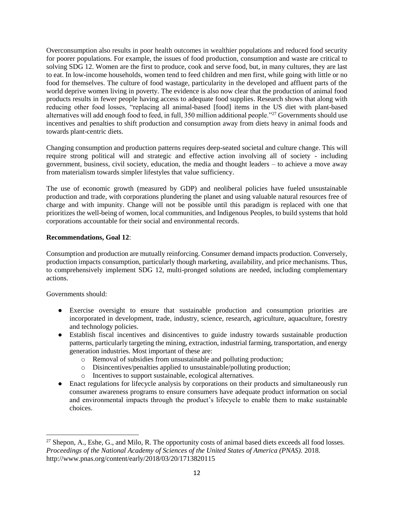Overconsumption also results in poor health outcomes in wealthier populations and reduced food security for poorer populations. For example, the issues of food production, consumption and waste are critical to solving SDG 12. Women are the first to produce, cook and serve food, but, in many cultures, they are last to eat. In low-income households, women tend to feed children and men first, while going with little or no food for themselves. The culture of food wastage, particularity in the developed and affluent parts of the world deprive women living in poverty. The evidence is also now clear that the production of animal food products results in fewer people having access to adequate food supplies. Research shows that along with reducing other food losses, "replacing all animal-based [food] items in the US diet with plant-based alternatives will add enough food to feed, in full, 350 million additional people."<sup>27</sup> Governments should use incentives and penalties to shift production and consumption away from diets heavy in animal foods and towards plant-centric diets.

Changing consumption and production patterns requires deep-seated societal and culture change. This will require strong political will and strategic and effective action involving all of society - including government, business, civil society, education, the media and thought leaders – to achieve a move away from materialism towards simpler lifestyles that value sufficiency.

The use of economic growth (measured by GDP) and neoliberal policies have fueled unsustainable production and trade, with corporations plundering the planet and using valuable natural resources free of charge and with impunity. Change will not be possible until this paradigm is replaced with one that prioritizes the well-being of women, local communities, and Indigenous Peoples, to build systems that hold corporations accountable for their social and environmental records.

### **Recommendations, Goal 12**:

Consumption and production are mutually reinforcing. Consumer demand impacts production. Conversely, production impacts consumption, particularly though marketing, availability, and price mechanisms. Thus, to comprehensively implement SDG 12, multi-pronged solutions are needed, including complementary actions.

Governments should:

- Exercise oversight to ensure that sustainable production and consumption priorities are incorporated in development, trade, industry, science, research, agriculture, aquaculture, forestry and technology policies.
- Establish fiscal incentives and disincentives to guide industry towards sustainable production patterns, particularly targeting the mining, extraction, industrial farming, transportation, and energy generation industries. Most important of these are:
	- o Removal of subsidies from unsustainable and polluting production;
	- o Disincentives/penalties applied to unsustainable/polluting production;
	- o Incentives to support sustainable, ecological alternatives.
- Enact regulations for lifecycle analysis by corporations on their products and simultaneously run consumer awareness programs to ensure consumers have adequate product information on social and environmental impacts through the product's lifecycle to enable them to make sustainable choices.

 $\overline{a}$  $^{27}$  Shepon, A., Eshe, G., and Milo, R. The opportunity costs of animal based diets exceeds all food losses. *Proceedings of the National Academy of Sciences of the United States of America (PNAS).* 2018. http://www.pnas.org/content/early/2018/03/20/1713820115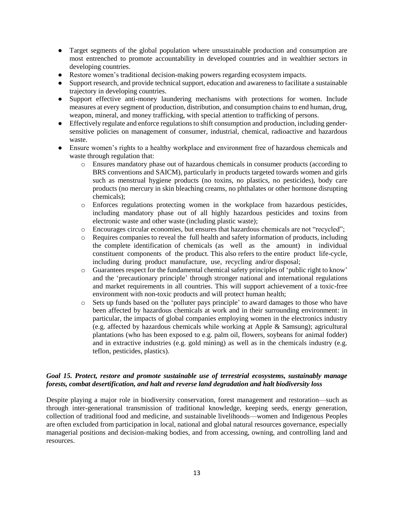- Target segments of the global population where unsustainable production and consumption are most entrenched to promote accountability in developed countries and in wealthier sectors in developing countries.
- Restore women's traditional decision-making powers regarding ecosystem impacts.
- Support research, and provide technical support, education and awareness to facilitate a sustainable trajectory in developing countries.
- Support effective anti-money laundering mechanisms with protections for women. Include measures at every segment of production, distribution, and consumption chains to end human, drug, weapon, mineral, and money trafficking, with special attention to trafficking of persons.
- Effectively regulate and enforce regulations to shift consumption and production, including gendersensitive policies on management of consumer, industrial, chemical, radioactive and hazardous waste.
- Ensure women's rights to a healthy workplace and environment free of hazardous chemicals and waste through regulation that:
	- o Ensures mandatory phase out of hazardous chemicals in consumer products (according to BRS conventions and SAICM), particularly in products targeted towards women and girls such as menstrual hygiene products (no toxins, no plastics, no pesticides), body care products (no mercury in skin bleaching creams, no phthalates or other hormone disrupting chemicals);
	- o Enforces regulations protecting women in the workplace from hazardous pesticides, including mandatory phase out of all highly hazardous pesticides and toxins from electronic waste and other waste (including plastic waste);
	- o Encourages circular economies, but ensures that hazardous chemicals are not "recycled";
	- o Requires companies to reveal the full health and safety information of products, including the complete identification of chemicals (as well as the amount) in individual constituent components of the product. This also refers to the entire product life-cycle, including during product manufacture, use, recycling and/or disposal;
	- o Guarantees respect for the fundamental chemical safety principles of 'public right to know' and the 'precautionary principle' through stronger national and international regulations and market requirements in all countries. This will support achievement of a toxic-free environment with non-toxic products and will protect human health;
	- o Sets up funds based on the 'polluter pays principle' to award damages to those who have been affected by hazardous chemicals at work and in their surrounding environment: in particular, the impacts of global companies employing women in the electronics industry (e.g. affected by hazardous chemicals while working at Apple & Samsung); agricultural plantations (who has been exposed to e.g. palm oil, flowers, soybeans for animal fodder) and in extractive industries (e.g. gold mining) as well as in the chemicals industry (e.g. teflon, pesticides, plastics).

## *Goal 15. Protect, restore and promote sustainable use of terrestrial ecosystems, sustainably manage forests, combat desertification, and halt and reverse land degradation and halt biodiversity loss*

Despite playing a major role in biodiversity conservation, forest management and restoration—such as through inter-generational transmission of traditional knowledge, keeping seeds, energy generation, collection of traditional food and medicine, and sustainable livelihoods—women and Indigenous Peoples are often excluded from participation in local, national and global natural resources governance, especially managerial positions and decision-making bodies, and from accessing, owning, and controlling land and resources.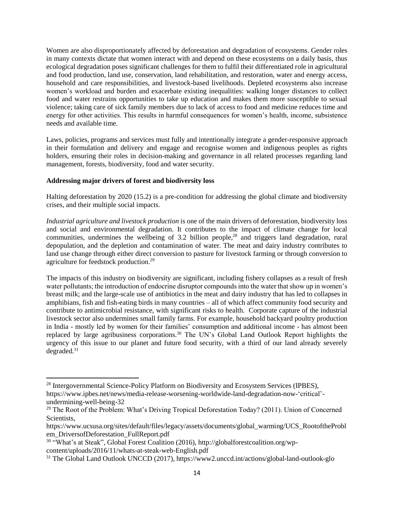Women are also disproportionately affected by deforestation and degradation of ecosystems. Gender roles in many contexts dictate that women interact with and depend on these ecosystems on a daily basis, thus ecological degradation poses significant challenges for them to fulfil their differentiated role in agricultural and food production, land use, conservation, land rehabilitation, and restoration, water and energy access, household and care responsibilities, and livestock-based livelihoods. Depleted ecosystems also increase women's workload and burden and exacerbate existing inequalities: walking longer distances to collect food and water restrains opportunities to take up education and makes them more susceptible to sexual violence; taking care of sick family members due to lack of access to food and medicine reduces time and energy for other activities. This results in harmful consequences for women's health, income, subsistence needs and available time.

Laws, policies, programs and services must fully and intentionally integrate a gender-responsive approach in their formulation and delivery and engage and recognise women and indigenous peoples as rights holders, ensuring their roles in decision-making and governance in all related processes regarding land management, forests, biodiversity, food and water security.

## **Addressing major drivers of forest and biodiversity loss**

Halting deforestation by 2020 (15.2) is a pre-condition for addressing the global climate and biodiversity crises, and their multiple social impacts.

*Industrial agriculture and livestock production* is one of the main drivers of deforestation, biodiversity loss and social and environmental degradation. It contributes to the impact of climate change for local communities, undermines the wellbeing of 3.2 billion people,<sup>28</sup> and triggers land degradation, rural depopulation, and the depletion and contamination of water. The meat and dairy industry contributes to land use change through either direct conversion to pasture for livestock farming or through conversion to agriculture for feedstock production.<sup>29</sup>

The impacts of this industry on biodiversity are significant, including fishery collapses as a result of fresh water pollutants; the introduction of endocrine disruptor compounds into the water that show up in women's breast milk; and the large-scale use of antibiotics in the meat and dairy industry that has led to collapses in amphibians, fish and fish-eating birds in many countries – all of which affect community food security and contribute to antimicrobial resistance, with significant risks to health. Corporate capture of the industrial livestock sector also undermines small family farms. For example, household backyard poultry production in India - mostly led by women for their families' consumption and additional income - has almost been replaced by large agribusiness corporations.<sup>30</sup> The UN's Global Land Outlook Report highlights the urgency of this issue to our planet and future food security, with a third of our land already severely degraded.<sup>31</sup>

<sup>&</sup>lt;sup>28</sup> Intergovernmental Science-Policy Platform on Biodiversity and Ecosystem Services (IPBES), https://www.ipbes.net/news/media-release-worsening-worldwide-land-degradation-now-'critical'-

undermining-well-being-32

<sup>&</sup>lt;sup>29</sup> The Root of the Problem: What's Driving Tropical Deforestation Today? (2011). Union of Concerned Scientists,

https://www.ucsusa.org/sites/default/files/legacy/assets/documents/global\_warming/UCS\_RootoftheProbl em\_DriversofDeforestation\_FullReport.pdf

<sup>&</sup>lt;sup>30</sup> "What's at Steak", Global Forest Coalition (2016), http://globalforestcoalition.org/wpcontent/uploads/2016/11/whats-at-steak-web-English.pdf

<sup>31</sup> The Global Land Outlook UNCCD (2017), https://www2.unccd.int/actions/global-land-outlook-glo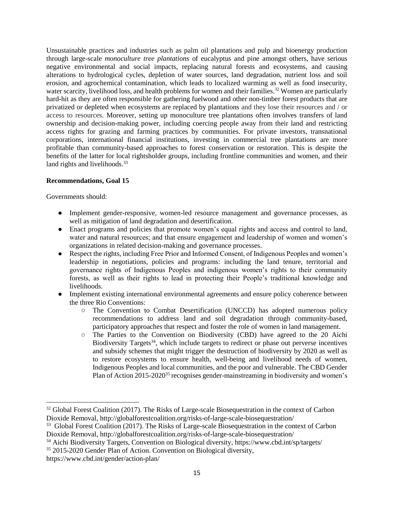Unsustainable practices and industries such as palm oil plantations and pulp and bioenergy production through large-scale *monoculture tree plantations* of eucalyptus and pine amongst others, have serious negative environmental and social impacts, replacing natural forests and ecosystems, and causing alterations to hydrological cycles, depletion of water sources, land degradation, nutrient loss and soil erosion, and agrochemical contamination, which leads to localized warming as well as food insecurity, water scarcity, livelihood loss, and health problems for women and their families.<sup>32</sup> Women are particularly hard-hit as they are often responsible for gathering fuelwood and other non-timber forest products that are privatized or depleted when ecosystems are replaced by plantations and they lose their resources and / or access to resources. Moreover, setting up monoculture tree plantations often involves transfers of land ownership and decision-making power, including coercing people away from their land and restricting access rights for grazing and farming practices by communities. For private investors, transnational corporations, international financial institutions, investing in commercial tree plantations are more profitable than community-based approaches to forest conservation or restoration. This is despite the benefits of the latter for local rightsholder groups, including frontline communities and women, and their land rights and livelihoods.<sup>33</sup>

### **Recommendations, Goal 15**

Governments should:

- Implement gender-responsive, women-led resource management and governance processes, as well as mitigation of land degradation and desertification.
- Enact programs and policies that promote women's equal rights and access and control to land, water and natural resources; and that ensure engagement and leadership of women and women's organizations in related decision-making and governance processes.
- Respect the rights, including Free Prior and Informed Consent, of Indigenous Peoples and women's leadership in negotiations, policies and programs: including the land tenure, territorial and governance rights of Indigenous Peoples and indigenous women's rights to their community forests, as well as their rights to lead in protecting their People's traditional knowledge and livelihoods.
- Implement existing international environmental agreements and ensure policy coherence between the three Rio Conventions:
	- The Convention to Combat Desertification (UNCCD) has adopted numerous policy recommendations to address land and soil degradation through community-based, participatory approaches that respect and foster the role of women in land management.
	- The Parties to the Convention on Biodiversity (CBD) have agreed to the 20 Aichi Biodiversity Targets<sup>34</sup>, which include targets to redirect or phase out perverse incentives and subsidy schemes that might trigger the destruction of biodiversity by 2020 as well as to restore ecosystems to ensure health, well-being and livelihood needs of women, Indigenous Peoples and local communities, and the poor and vulnerable. The CBD Gender Plan of Action 2015-2020<sup>35</sup> recognises gender-mainstreaming in biodiversity and women's

<sup>33</sup> Global Forest Coalition (2017). The Risks of Large-scale Biosequestration in the context of Carbon Dioxide Removal,<http://globalforestcoalition.org/risks-of-large-scale-biosequestration/>

<sup>35</sup> 2015-2020 Gender Plan of Action. Convention on Biological diversity,

<sup>&</sup>lt;sup>32</sup> Global Forest Coalition (2017). The Risks of Large-scale Biosequestration in the context of Carbon Dioxide Removal,<http://globalforestcoalition.org/risks-of-large-scale-biosequestration/>

<sup>34</sup> Aichi Biodiversity Targets, Convention on Biological diversity, https://www.cbd.int/sp/targets/

https://www.cbd.int/gender/action-plan/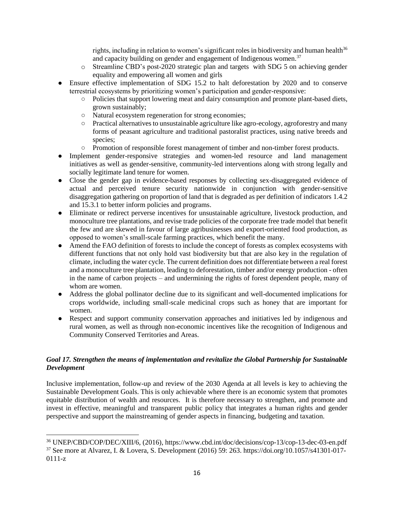rights, including in relation to women's significant roles in biodiversity and human health<sup>36</sup> and capacity building on gender and engagement of Indigenous women. $37$ 

- o Streamline CBD's post-2020 strategic plan and targets with SDG 5 on achieving gender equality and empowering all women and girls
- Ensure effective implementation of SDG 15.2 to halt deforestation by 2020 and to conserve terrestrial ecosystems by prioritizing women's participation and gender-responsive:
	- Policies that support lowering meat and dairy consumption and promote plant-based diets, grown sustainably;
	- Natural ecosystem regeneration for strong economies;
	- Practical alternatives to unsustainable agriculture like agro-ecology, agroforestry and many forms of peasant agriculture and traditional pastoralist practices, using native breeds and species;
	- Promotion of responsible forest management of timber and non-timber forest products.
- Implement gender-responsive strategies and women-led resource and land management initiatives as well as gender-sensitive, community-led interventions along with strong legally and socially legitimate land tenure for women.
- Close the gender gap in evidence-based responses by collecting sex-disaggregated evidence of actual and perceived tenure security nationwide in conjunction with gender-sensitive disaggregation gathering on proportion of land that is degraded as per definition of indicators 1.4.2 and 15.3.1 to better inform policies and programs.
- Eliminate or redirect perverse incentives for unsustainable agriculture, livestock production, and monoculture tree plantations, and revise trade policies of the corporate free trade model that benefit the few and are skewed in favour of large agribusinesses and export-oriented food production, as opposed to women's small-scale farming practices, which benefit the many.
- Amend the FAO definition of forests to include the concept of forests as complex ecosystems with different functions that not only hold vast biodiversity but that are also key in the regulation of climate, including the water cycle. The current definition does not differentiate between a real forest and a monoculture tree plantation, leading to deforestation, timber and/or energy production - often in the name of carbon projects – and undermining the rights of forest dependent people, many of whom are women.
- Address the global pollinator decline due to its significant and well-documented implications for crops worldwide, including small-scale medicinal crops such as honey that are important for women.
- Respect and support community conservation approaches and initiatives led by indigenous and rural women, as well as through non-economic incentives like the recognition of Indigenous and Community Conserved Territories and Areas.

# *Goal 17. Strengthen the means of implementation and revitalize the Global Partnership for Sustainable Development*

Inclusive implementation, follow-up and review of the 2030 Agenda at all levels is key to achieving the Sustainable Development Goals. This is only achievable where there is an economic system that promotes equitable distribution of wealth and resources. It is therefore necessary to strengthen, and promote and invest in effective, meaningful and transparent public policy that integrates a human rights and gender perspective and support the mainstreaming of gender aspects in financing, budgeting and taxation.

<sup>36</sup> UNEP/CBD/COP/DEC/XIII/6, (2016), https://www.cbd.int/doc/decisions/cop-13/cop-13-dec-03-en.pdf

<sup>37</sup> See more at Alvarez, I. & Lovera, S. Development (2016) 59: 263. https://doi.org/10.1057/s41301-017- 0111-z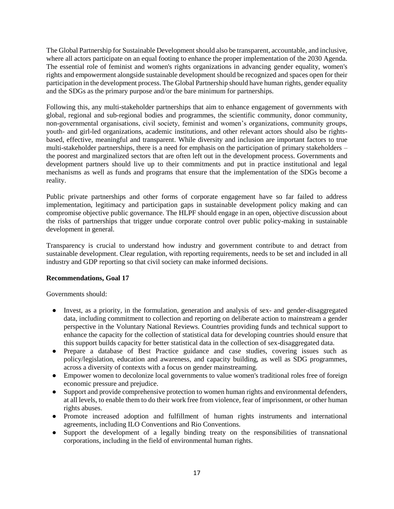The Global Partnership for Sustainable Development should also be transparent, accountable, and inclusive, where all actors participate on an equal footing to enhance the proper implementation of the 2030 Agenda. The essential role of feminist and women's rights organizations in advancing gender equality, women's rights and empowerment alongside sustainable development should be recognized and spaces open for their participation in the development process. The Global Partnership should have human rights, gender equality and the SDGs as the primary purpose and/or the bare minimum for partnerships.

Following this, any multi-stakeholder partnerships that aim to enhance engagement of governments with global, regional and sub-regional bodies and programmes, the scientific community, donor community, non-governmental organisations, civil society, feminist and women's organizations, community groups, youth- and girl-led organizations, academic institutions, and other relevant actors should also be rightsbased, effective, meaningful and transparent. While diversity and inclusion are important factors to true multi-stakeholder partnerships, there is a need for emphasis on the participation of primary stakeholders – the poorest and marginalized sectors that are often left out in the development process. Governments and development partners should live up to their commitments and put in practice institutional and legal mechanisms as well as funds and programs that ensure that the implementation of the SDGs become a reality.

Public private partnerships and other forms of corporate engagement have so far failed to address implementation, legitimacy and participation gaps in sustainable development policy making and can compromise objective public governance. The HLPF should engage in an open, objective discussion about the risks of partnerships that trigger undue corporate control over public policy-making in sustainable development in general.

Transparency is crucial to understand how industry and government contribute to and detract from sustainable development. Clear regulation, with reporting requirements, needs to be set and included in all industry and GDP reporting so that civil society can make informed decisions.

## **Recommendations, Goal 17**

Governments should:

- Invest, as a priority, in the formulation, generation and analysis of sex- and gender-disaggregated data, including commitment to collection and reporting on deliberate action to mainstream a gender perspective in the Voluntary National Reviews. Countries providing funds and technical support to enhance the capacity for the collection of statistical data for developing countries should ensure that this support builds capacity for better statistical data in the collection of sex-disaggregated data.
- Prepare a database of Best Practice guidance and case studies, covering issues such as policy/legislation, education and awareness, and capacity building, as well as SDG programmes, across a diversity of contexts with a focus on gender mainstreaming.
- Empower women to decolonize local governments to value women's traditional roles free of foreign economic pressure and prejudice.
- Support and provide comprehensive protection to women human rights and environmental defenders, at all levels, to enable them to do their work free from violence, fear of imprisonment, or other human rights abuses.
- Promote increased adoption and fulfillment of human rights instruments and international agreements, including ILO Conventions and Rio Conventions.
- Support the development of a legally binding treaty on the responsibilities of transnational corporations, including in the field of environmental human rights.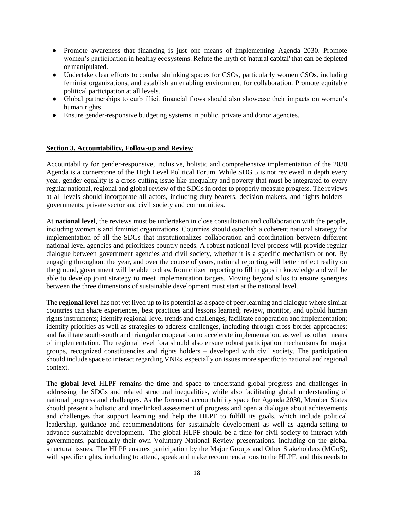- Promote awareness that financing is just one means of implementing Agenda 2030. Promote women's participation in healthy ecosystems. Refute the myth of 'natural capital' that can be depleted or manipulated.
- Undertake clear efforts to combat shrinking spaces for CSOs, particularly women CSOs, including feminist organizations, and establish an enabling environment for collaboration. Promote equitable political participation at all levels.
- Global partnerships to curb illicit financial flows should also showcase their impacts on women's human rights.
- Ensure gender-responsive budgeting systems in public, private and donor agencies.

### **Section 3. Accountability, Follow-up and Review**

Accountability for gender-responsive, inclusive, holistic and comprehensive implementation of the 2030 Agenda is a cornerstone of the High Level Political Forum. While SDG 5 is not reviewed in depth every year, gender equality is a cross-cutting issue like inequality and poverty that must be integrated to every regular national, regional and global review of the SDGs in order to properly measure progress. The reviews at all levels should incorporate all actors, including duty-bearers, decision-makers, and rights-holders governments, private sector and civil society and communities.

At **national level**, the reviews must be undertaken in close consultation and collaboration with the people, including women's and feminist organizations. Countries should establish a coherent national strategy for implementation of all the SDGs that institutionalizes collaboration and coordination between different national level agencies and prioritizes country needs. A robust national level process will provide regular dialogue between government agencies and civil society, whether it is a specific mechanism or not. By engaging throughout the year, and over the course of years, national reporting will better reflect reality on the ground, government will be able to draw from citizen reporting to fill in gaps in knowledge and will be able to develop joint strategy to meet implementation targets. Moving beyond silos to ensure synergies between the three dimensions of sustainable development must start at the national level.

The **regional level** has not yet lived up to its potential as a space of peer learning and dialogue where similar countries can share experiences, best practices and lessons learned; review, monitor, and uphold human rights instruments; identify regional-level trends and challenges; facilitate cooperation and implementation; identify priorities as well as strategies to address challenges, including through cross-border approaches; and facilitate south-south and triangular cooperation to accelerate implementation, as well as other means of implementation. The regional level fora should also ensure robust participation mechanisms for major groups, recognized constituencies and rights holders – developed with civil society. The participation should include space to interact regarding VNRs, especially on issues more specific to national and regional context.

The **global level** HLPF remains the time and space to understand global progress and challenges in addressing the SDGs and related structural inequalities, while also facilitating global understanding of national progress and challenges. As the foremost accountability space for Agenda 2030, Member States should present a holistic and interlinked assessment of progress and open a dialogue about achievements and challenges that support learning and help the HLPF to fulfill its goals, which include political leadership, guidance and recommendations for sustainable development as well as agenda-setting to advance sustainable development. The global HLPF should be a time for civil society to interact with governments, particularly their own Voluntary National Review presentations, including on the global structural issues. The HLPF ensures participation by the Major Groups and Other Stakeholders (MGoS), with specific rights, including to attend, speak and make recommendations to the HLPF, and this needs to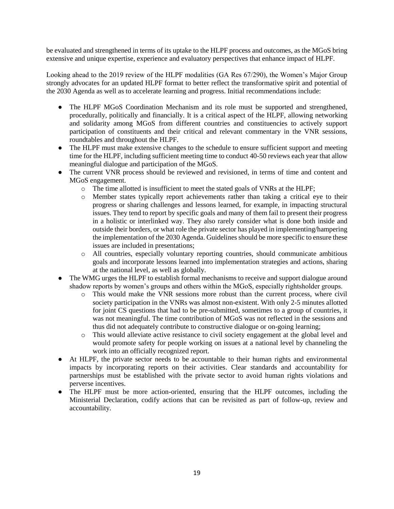be evaluated and strengthened in terms of its uptake to the HLPF process and outcomes, as the MGoS bring extensive and unique expertise, experience and evaluatory perspectives that enhance impact of HLPF.

Looking ahead to the 2019 review of the HLPF modalities (GA Res 67/290), the Women's Major Group strongly advocates for an updated HLPF format to better reflect the transformative spirit and potential of the 2030 Agenda as well as to accelerate learning and progress. Initial recommendations include:

- The HLPF MGoS Coordination Mechanism and its role must be supported and strengthened, procedurally, politically and financially. It is a critical aspect of the HLPF, allowing networking and solidarity among MGoS from different countries and constituencies to actively support participation of constituents and their critical and relevant commentary in the VNR sessions, roundtables and throughout the HLPF.
- The HLPF must make extensive changes to the schedule to ensure sufficient support and meeting time for the HLPF, including sufficient meeting time to conduct 40-50 reviews each year that allow meaningful dialogue and participation of the MGoS.
- The current VNR process should be reviewed and revisioned, in terms of time and content and MGoS engagement.
	- o The time allotted is insufficient to meet the stated goals of VNRs at the HLPF;
	- o Member states typically report achievements rather than taking a critical eye to their progress or sharing challenges and lessons learned, for example, in impacting structural issues. They tend to report by specific goals and many of them fail to present their progress in a holistic or interlinked way. They also rarely consider what is done both inside and outside their borders, or what role the private sector has played in implementing/hampering the implementation of the 2030 Agenda. Guidelines should be more specific to ensure these issues are included in presentations;
	- o All countries, especially voluntary reporting countries, should communicate ambitious goals and incorporate lessons learned into implementation strategies and actions, sharing at the national level, as well as globally.
- The WMG urges the HLPF to establish formal mechanisms to receive and support dialogue around shadow reports by women's groups and others within the MGoS, especially rightsholder groups.
	- o This would make the VNR sessions more robust than the current process, where civil society participation in the VNRs was almost non-existent. With only 2-5 minutes allotted for joint CS questions that had to be pre-submitted, sometimes to a group of countries, it was not meaningful. The time contribution of MGoS was not reflected in the sessions and thus did not adequately contribute to constructive dialogue or on-going learning;
	- o This would alleviate active resistance to civil society engagement at the global level and would promote safety for people working on issues at a national level by channeling the work into an officially recognized report.
- At HLPF, the private sector needs to be accountable to their human rights and environmental impacts by incorporating reports on their activities. Clear standards and accountability for partnerships must be established with the private sector to avoid human rights violations and perverse incentives.
- The HLPF must be more action-oriented, ensuring that the HLPF outcomes, including the Ministerial Declaration, codify actions that can be revisited as part of follow-up, review and accountability.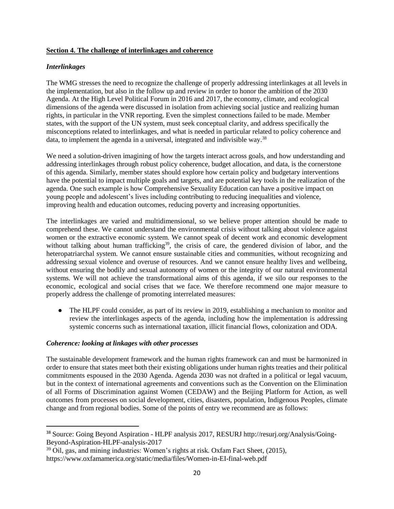### **Section 4. The challenge of interlinkages and coherence**

#### *Interlinkages*

l

The WMG stresses the need to recognize the challenge of properly addressing interlinkages at all levels in the implementation, but also in the follow up and review in order to honor the ambition of the 2030 Agenda. At the High Level Political Forum in 2016 and 2017, the economy, climate, and ecological dimensions of the agenda were discussed in isolation from achieving social justice and realizing human rights, in particular in the VNR reporting. Even the simplest connections failed to be made. Member states, with the support of the UN system, must seek conceptual clarity, and address specifically the misconceptions related to interlinkages, and what is needed in particular related to policy coherence and data, to implement the agenda in a universal, integrated and indivisible way.<sup>38</sup>

We need a solution-driven imagining of how the targets interact across goals, and how understanding and addressing interlinkages through robust policy coherence, budget allocation, and data, is the cornerstone of this agenda. Similarly, member states should explore how certain policy and budgetary interventions have the potential to impact multiple goals and targets, and are potential key tools in the realization of the agenda. One such example is how Comprehensive Sexuality Education can have a positive impact on young people and adolescent's lives including contributing to reducing inequalities and violence, improving health and education outcomes, reducing poverty and increasing opportunities.

The interlinkages are varied and multidimensional, so we believe proper attention should be made to comprehend these. We cannot understand the environmental crisis without talking about violence against women or the extractive economic system. We cannot speak of decent work and economic development without talking about human trafficking<sup>39</sup>, the crisis of care, the gendered division of labor, and the heteropatriarchal system. We cannot ensure sustainable cities and communities, without recognizing and addressing sexual violence and overuse of resources. And we cannot ensure healthy lives and wellbeing, without ensuring the bodily and sexual autonomy of women or the integrity of our natural environmental systems*.* We will not achieve the transformational aims of this agenda, if we silo our responses to the economic, ecological and social crises that we face. We therefore recommend one major measure to properly address the challenge of promoting interrelated measures:

● The HLPF could consider, as part of its review in 2019, establishing a mechanism to monitor and review the interlinkages aspects of the agenda, including how the implementation is addressing systemic concerns such as international taxation, illicit financial flows, colonization and ODA.

### *Coherence: looking at linkages with other processes*

The sustainable development framework and the human rights framework can and must be harmonized in order to ensure that states meet both their existing obligations under human rights treaties and their political commitments espoused in the 2030 Agenda. Agenda 2030 was not drafted in a political or legal vacuum, but in the context of international agreements and conventions such as the Convention on the Elimination of all Forms of Discrimination against Women (CEDAW) and the Beijing Platform for Action, as well outcomes from processes on social development, cities, disasters, population, Indigenous Peoples, climate change and from regional bodies. Some of the points of entry we recommend are as follows:

<sup>38</sup> Source: Going Beyond Aspiration - HLPF analysis 2017, RESURJ http://resurj.org/Analysis/Going-Beyond-Aspiration-HLPF-analysis-2017

<sup>&</sup>lt;sup>39</sup> Oil, gas, and mining industries: Women's rights at risk. Oxfam Fact Sheet, (2015), <https://www.oxfamamerica.org/static/media/files/Women-in-EI-final-web.pdf>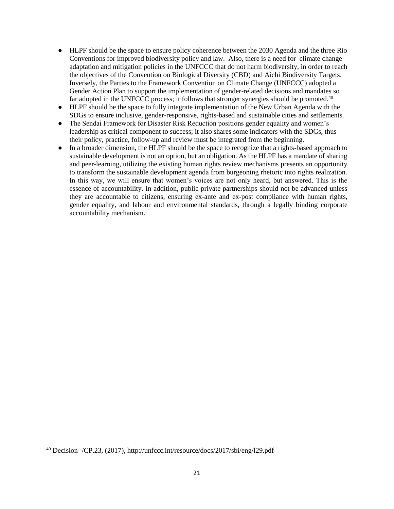- HLPF should be the space to ensure policy coherence between the 2030 Agenda and the three Rio Conventions for improved biodiversity policy and law. Also, there is a need for climate change adaptation and mitigation policies in the UNFCCC that do not harm biodiversity, in order to reach the objectives of the Convention on Biological Diversity (CBD) and Aichi Biodiversity Targets. Inversely, the Parties to the Framework Convention on Climate Change (UNFCCC) adopted a Gender Action Plan to support the implementation of gender-related decisions and mandates so far adopted in the UNFCCC process; it follows that stronger synergies should be promoted. $40$
- HLPF should be the space to fully integrate implementation of the New Urban Agenda with the SDGs to ensure inclusive, gender-responsive, rights-based and sustainable cities and settlements.
- The Sendai Framework for Disaster Risk Reduction positions gender equality and women's leadership as critical component to success; it also shares some indicators with the SDGs, thus their policy, practice, follow-up and review must be integrated from the beginning.
- In a broader dimension, the HLPF should be the space to recognize that a rights-based approach to sustainable development is not an option, but an obligation. As the HLPF has a mandate of sharing and peer-learning, utilizing the existing human rights review mechanisms presents an opportunity to transform the sustainable development agenda from burgeoning rhetoric into rights realization. In this way, we will ensure that women's voices are not only heard, but answered. This is the essence of accountability. In addition, public-private partnerships should not be advanced unless they are accountable to citizens, ensuring ex-ante and ex-post compliance with human rights, gender equality, and labour and environmental standards, through a legally binding corporate accountability mechanism.

 $\overline{\phantom{a}}$ 

<sup>40</sup> Decision -/CP.23, (2017), http://unfccc.int/resource/docs/2017/sbi/eng/l29.pdf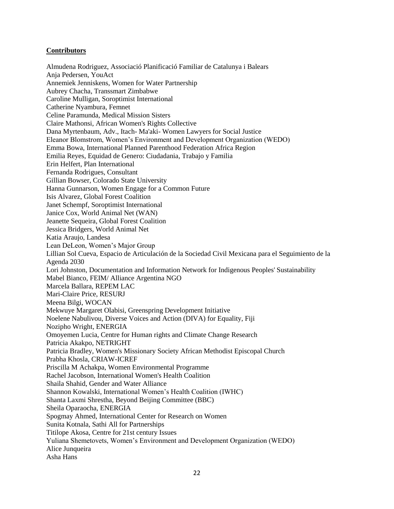## **Contributors**

Almudena Rodriguez, Associació Planificació Familiar de Catalunya i Balears Anja Pedersen, YouAct Annemiek Jenniskens, Women for Water Partnership Aubrey Chacha, Transsmart Zimbabwe Caroline Mulligan, Soroptimist International Catherine Nyambura, Femnet Celine Paramunda, Medical Mission Sisters Claire Mathonsi, African Women's Rights Collective Dana Myrtenbaum, Adv., Itach- Ma'aki- Women Lawyers for Social Justice Eleanor Blomstrom, Women's Environment and Development Organization (WEDO) Emma Bowa, International Planned Parenthood Federation Africa Region Emilia Reyes, Equidad de Genero: Ciudadania, Trabajo y Familia Erin Helfert, Plan International Fernanda Rodrigues, Consultant Gillian Bowser, Colorado State University Hanna Gunnarson, Women Engage for a Common Future Isis Alvarez, Global Forest Coalition Janet Schempf, Soroptimist International Janice Cox, World Animal Net (WAN) Jeanette Sequeira, Global Forest Coalition Jessica Bridgers, World Animal Net Katia Araujo, Landesa Lean DeLeon, Women's Major Group Lillian Sol Cueva, Espacio de Articulación de la Sociedad Civil Mexicana para el Seguimiento de la Agenda 2030 Lori Johnston, Documentation and Information Network for Indigenous Peoples' Sustainability Mabel Bianco, FEIM/ Alliance Argentina NGO Marcela Ballara, REPEM LAC Mari-Claire Price, RESURJ Meena Bilgi, WOCAN Mekwuye Margaret Olabisi, Greenspring Development Initiative Noelene Nabulivou, Diverse Voices and Action (DIVA) for Equality, Fiji Nozipho Wright, ENERGIA Omoyemen Lucia, Centre for Human rights and Climate Change Research Patricia Akakpo, NETRIGHT Patricia Bradley, Women's Missionary Society African Methodist Episcopal Church Prabha Khosla, CRIAW-ICREF Priscilla M Achakpa, Women Environmental Programme Rachel Jacobson, International Women's Health Coalition Shaila Shahid, Gender and Water Alliance Shannon Kowalski, International Women's Health Coalition (IWHC) Shanta Laxmi Shrestha, Beyond Beijing Committee (BBC) Sheila Oparaocha, ENERGIA Spogmay Ahmed, International Center for Research on Women Sunita Kotnala, Sathi All for Partnerships Titilope Akosa, Centre for 21st century Issues Yuliana Shemetovets, Women's Environment and Development Organization (WEDO) Alice Junqueira Asha Hans